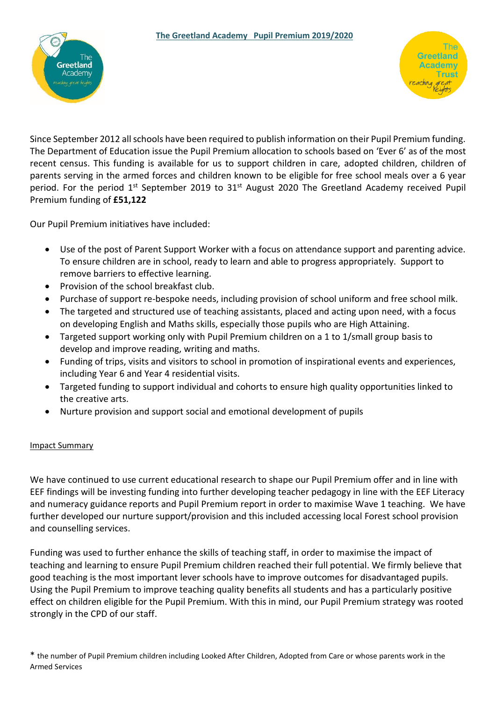



Since September 2012 all schools have been required to publish information on their Pupil Premium funding. The Department of Education issue the Pupil Premium allocation to schools based on 'Ever 6' as of the most recent census. This funding is available for us to support children in care, adopted children, children of parents serving in the armed forces and children known to be eligible for free school meals over a 6 year period. For the period  $1<sup>st</sup>$  September 2019 to 31 $<sup>st</sup>$  August 2020 The Greetland Academy received Pupil</sup> Premium funding of **£51,122**

Our Pupil Premium initiatives have included:

- Use of the post of Parent Support Worker with a focus on attendance support and parenting advice. To ensure children are in school, ready to learn and able to progress appropriately. Support to remove barriers to effective learning.
- Provision of the school breakfast club.
- Purchase of support re-bespoke needs, including provision of school uniform and free school milk.
- The targeted and structured use of teaching assistants, placed and acting upon need, with a focus on developing English and Maths skills, especially those pupils who are High Attaining.
- Targeted support working only with Pupil Premium children on a 1 to 1/small group basis to develop and improve reading, writing and maths.
- Funding of trips, visits and visitors to school in promotion of inspirational events and experiences, including Year 6 and Year 4 residential visits.
- Targeted funding to support individual and cohorts to ensure high quality opportunities linked to the creative arts.
- Nurture provision and support social and emotional development of pupils

## Impact Summary

We have continued to use current educational research to shape our Pupil Premium offer and in line with EEF findings will be investing funding into further developing teacher pedagogy in line with the EEF Literacy and numeracy guidance reports and Pupil Premium report in order to maximise Wave 1 teaching. We have further developed our nurture support/provision and this included accessing local Forest school provision and counselling services.

Funding was used to further enhance the skills of teaching staff, in order to maximise the impact of teaching and learning to ensure Pupil Premium children reached their full potential. We firmly believe that good teaching is the most important lever schools have to improve outcomes for disadvantaged pupils. Using the Pupil Premium to improve teaching quality benefits all students and has a particularly positive effect on children eligible for the Pupil Premium. With this in mind, our Pupil Premium strategy was rooted strongly in the CPD of our staff.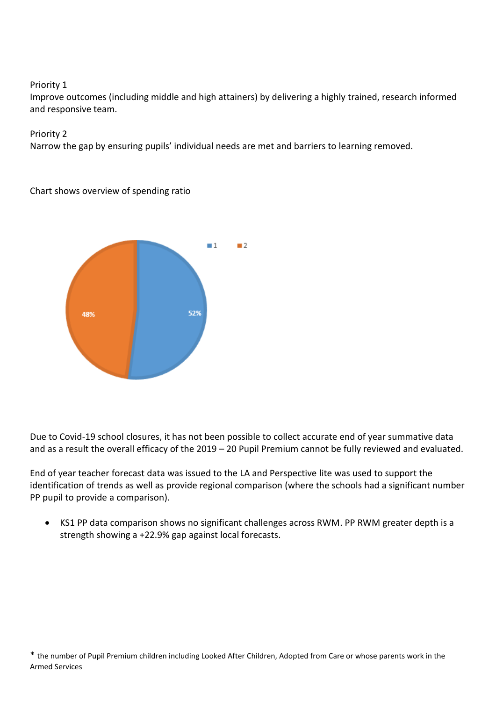## Priority 1

Improve outcomes (including middle and high attainers) by delivering a highly trained, research informed and responsive team.

Priority 2

Narrow the gap by ensuring pupils' individual needs are met and barriers to learning removed.

Chart shows overview of spending ratio



Due to Covid-19 school closures, it has not been possible to collect accurate end of year summative data and as a result the overall efficacy of the 2019 – 20 Pupil Premium cannot be fully reviewed and evaluated.

End of year teacher forecast data was issued to the LA and Perspective lite was used to support the identification of trends as well as provide regional comparison (where the schools had a significant number PP pupil to provide a comparison).

 KS1 PP data comparison shows no significant challenges across RWM. PP RWM greater depth is a strength showing a +22.9% gap against local forecasts.

<sup>\*</sup> the number of Pupil Premium children including Looked After Children, Adopted from Care or whose parents work in the Armed Services